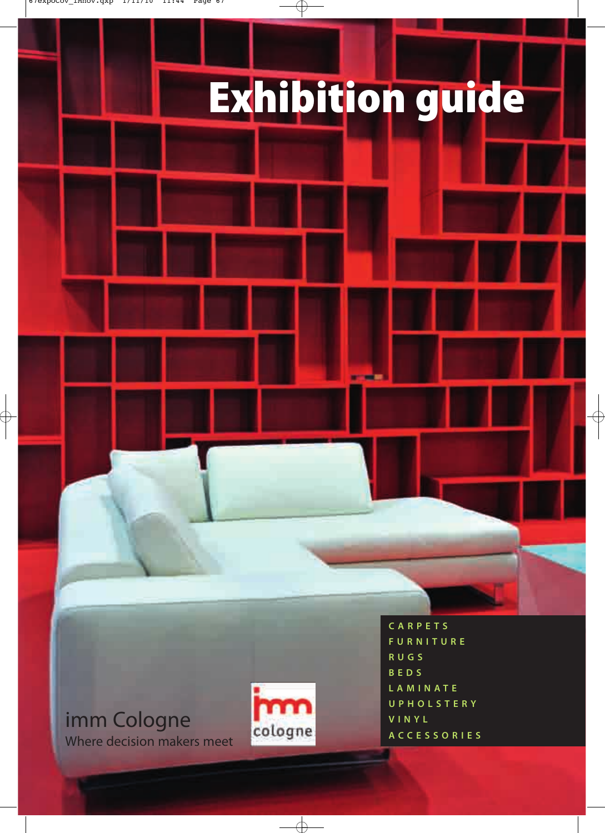## **Exhibition guide**

#### imm Cologne Where decision makers meet



**CARPETS FURNITURE RUGS BEDS LAMINATE UPHOLSTERY VINYL ACCESSORIES**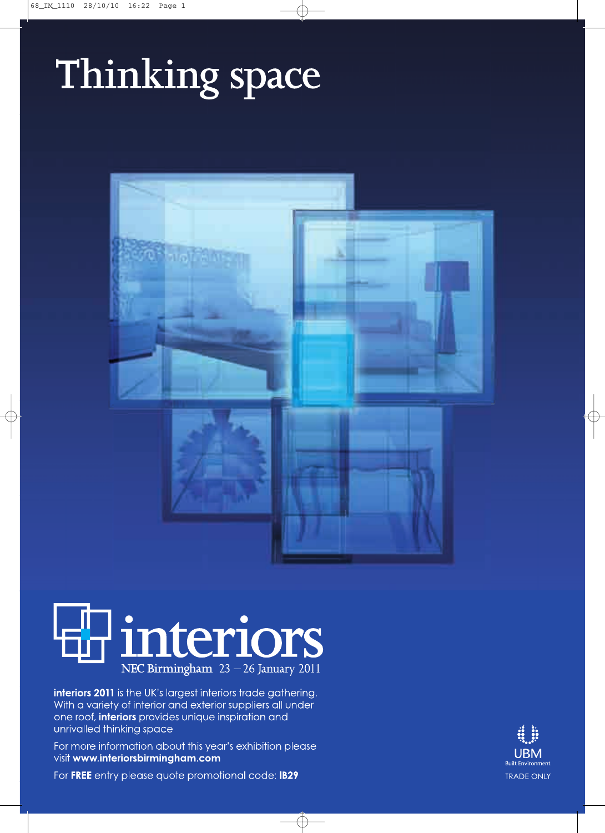### Thinking space





interiors 2011 is the UK's largest interiors trade gathering. With a variety of interior and exterior suppliers all under one roof, interiors provides unique inspiration and unrivalled thinking space

For more information about this year's exhibition please visit www.interiorsbirmingham.com

**UBM Built Environment TRADE ONLY** 

For FREE entry please quote promotional code: IB29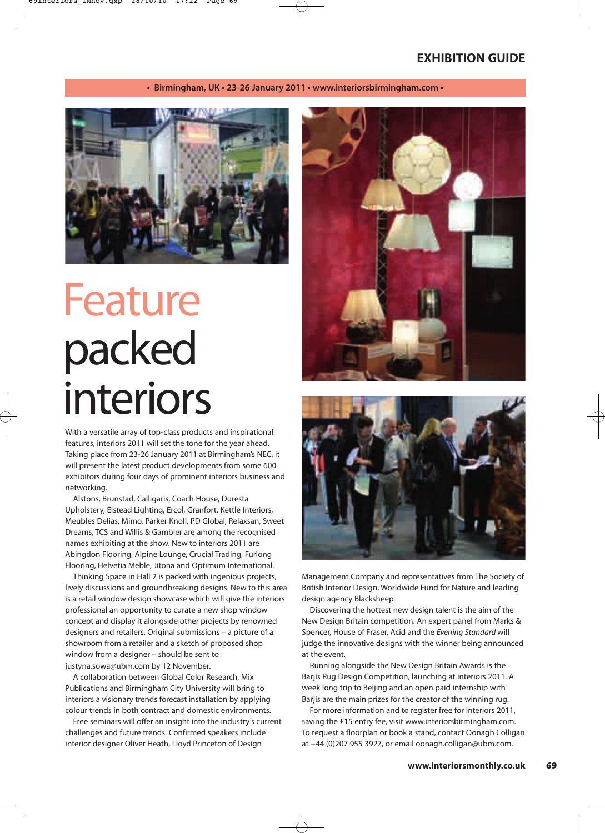**• Birmingham, UK • 23-26 January 2011 • www.interiorsbirmingham.com •** 



### Feature packed interiors

With a versatile array of top-class products and inspirational features, interiors 2011 will set the tone for the year ahead. Taking place from 23-26 January 2011 at Birmingham's NEC, it will present the latest product developments from some 600 exhibitors during four days of prominent interiors business and networking.

Alstons, Brunstad, Calligaris, Coach House, Duresta Upholstery, Elstead Lighting, Ercol, Granfort, Kettle Interiors, Meubles Delias, Mimo, Parker Knoll, PD Global, Relaxsan, Sweet Dreams, TCS and Willis & Gambier are among the recognised names exhibiting at the show. New to interiors 2011 are Abingdon Flooring, Alpine Lounge, Crucial Trading, Furlong Flooring, Helvetia Meble, Jitona and Optimum International.

Thinking Space in Hall 2 is packed with ingenious projects, lively discussions and groundbreaking designs. New to this area is a retail window design showcase which will give the interiors professional an opportunity to curate a new shop window concept and display it alongside other projects by renowned designers and retailers. Original submissions – a picture of a showroom from a retailer and a sketch of proposed shop window from a designer – should be sent to justyna.sowa@ubm.com by 12 November.

A collaboration between Global Color Research, Mix Publications and Birmingham City University will bring to interiors a visionary trends forecast installation by applying colour trends in both contract and domestic environments.

Free seminars will offer an insight into the industry's current challenges and future trends. Confirmed speakers include interior designer Oliver Heath, Lloyd Princeton of Design





Management Company and representatives from The Society of British Interior Design, Worldwide Fund for Nature and leading design agency Blacksheep.

Discovering the hottest new design talent is the aim of the New Design Britain competition. An expert panel from Marks & Spencer, House of Fraser, Acid and the Evening Standard will judge the innovative designs with the winner being announced at the event.

Running alongside the New Design Britain Awards is the Barjis Rug Design Competition, launching at interiors 2011. A week long trip to Beijing and an open paid internship with Barjis are the main prizes for the creator of the winning rug.

For more information and to register free for interiors 2011, saving the £15 entry fee, visit www.interiorsbirmingham.com. To request a floorplan or book a stand, contact Oonagh Colligan at +44 (0)207 955 3927, or email oonagh.colligan@ubm.com.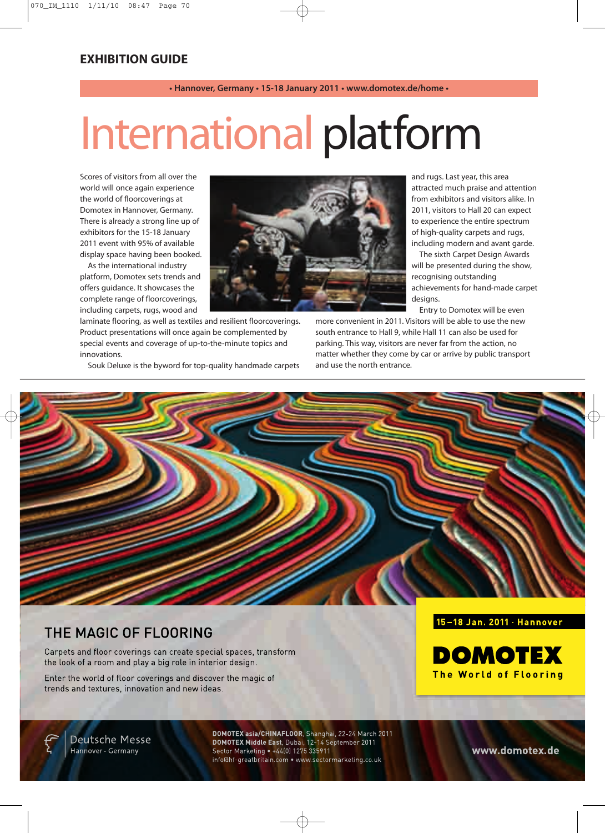#### **• Hannover, Germany • 15-18 January 2011 • www.domotex.de/home •**

### International platform

Scores of visitors from all over the world will once again experience the world of floorcoverings at Domotex in Hannover, Germany. There is already a strong line up of exhibitors for the 15-18 January 2011 event with 95% of available display space having been booked.

As the international industry platform, Domotex sets trends and offers guidance. It showcases the complete range of floorcoverings, including carpets, rugs, wood and



Souk Deluxe is the byword for top-quality handmade carpets

and rugs. Last year, this area attracted much praise and attention from exhibitors and visitors alike. In 2011, visitors to Hall 20 can expect to experience the entire spectrum of high-quality carpets and rugs, including modern and avant garde.

The sixth Carpet Design Awards will be presented during the show, recognising outstanding achievements for hand-made carpet designs.

Entry to Domotex will be even

more convenient in 2011. Visitors will be able to use the new south entrance to Hall 9, while Hall 11 can also be used for parking. This way, visitors are never far from the action, no matter whether they come by car or arrive by public transport and use the north entrance.



#### THE MAGIC OF FLOORING

Carpets and floor coverings can create special spaces, transform the look of a room and play a big role in interior design.

Enter the world of floor coverings and discover the magic of trends and textures, innovation and new ideas.

#### 15-18 Jan. 2011 · Hannover



Deutsche Messe Hannover · Germany

DOMOTEX asia/CHINAFLOOR, Shanghai, 22-24 March 2011<br>DOMOTEX Middle East, Dubai, 12-14 September 2011 Sector Marketing • +44(0) 1275 335911 info@hf-greatbritain.com . www.sectormarketing.co.uk

www.domotex.de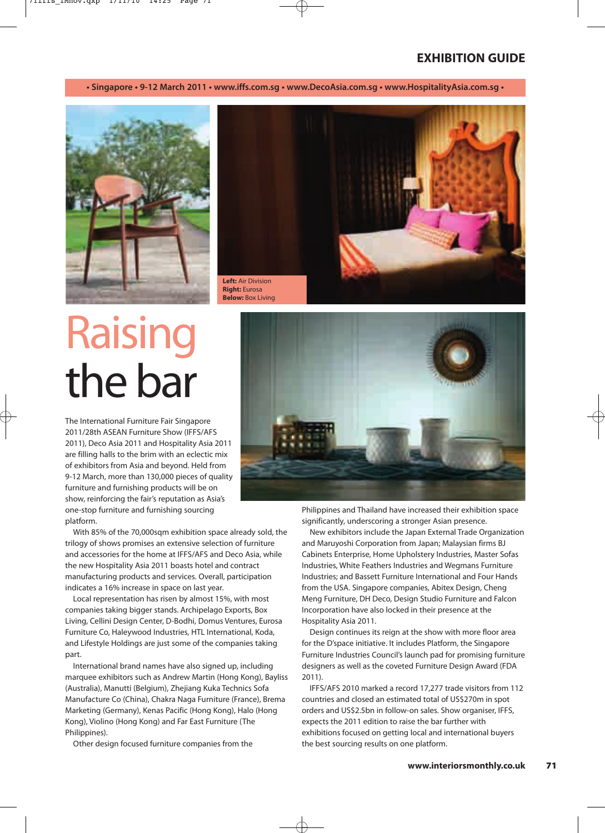**• Singapore • 9-12 March 2011 • www.iffs.com.sg • www.DecoAsia.com.sg • www.HospitalityAsia.com.sg •**





### Raising the bar

The International Furniture Fair Singapore 2011/28th ASEAN Furniture Show (IFFS/AFS 2011), Deco Asia 2011 and Hospitality Asia 2011 are filling halls to the brim with an eclectic mix of exhibitors from Asia and beyond. Held from 9-12 March, more than 130,000 pieces of quality furniture and furnishing products will be on show, reinforcing the fair's reputation as Asia's one-stop furniture and furnishing sourcing platform.

With 85% of the 70,000sqm exhibition space already sold, the trilogy of shows promises an extensive selection of furniture and accessories for the home at IFFS/AFS and Deco Asia, while the new Hospitality Asia 2011 boasts hotel and contract manufacturing products and services. Overall, participation indicates a 16% increase in space on last year.

Local representation has risen by almost 15%, with most companies taking bigger stands. Archipelago Exports, Box Living, Cellini Design Center, D-Bodhi, Domus Ventures, Eurosa Furniture Co, Haleywood Industries, HTL International, Koda, and Lifestyle Holdings are just some of the companies taking part.

International brand names have also signed up, including marquee exhibitors such as Andrew Martin (Hong Kong), Bayliss (Australia), Manutti (Belgium), Zhejiang Kuka Technics Sofa Manufacture Co (China), Chakra Naga Furniture (France), Brema Marketing (Germany), Kenas Pacific (Hong Kong), Halo (Hong Kong), Violino (Hong Kong) and Far East Furniture (The Philippines).

Other design focused furniture companies from the



Philippines and Thailand have increased their exhibition space significantly, underscoring a stronger Asian presence.

New exhibitors include the Japan External Trade Organization and Maruyoshi Corporation from Japan; Malaysian firms BJ Cabinets Enterprise, Home Upholstery Industries, Master Sofas Industries, White Feathers Industries and Wegmans Furniture Industries; and Bassett Furniture International and Four Hands from the USA. Singapore companies, Abitex Design, Cheng Meng Furniture, DH Deco, Design Studio Furniture and Falcon Incorporation have also locked in their presence at the Hospitality Asia 2011.

Design continues its reign at the show with more floor area for the D'space initiative. It includes Platform, the Singapore Furniture Industries Council's launch pad for promising furniture designers as well as the coveted Furniture Design Award (FDA 2011).

IFFS/AFS 2010 marked a record 17,277 trade visitors from 112 countries and closed an estimated total of US\$270m in spot orders and US\$2.5bn in follow-on sales. Show organiser, IFFS, expects the 2011 edition to raise the bar further with exhibitions focused on getting local and international buyers the best sourcing results on one platform.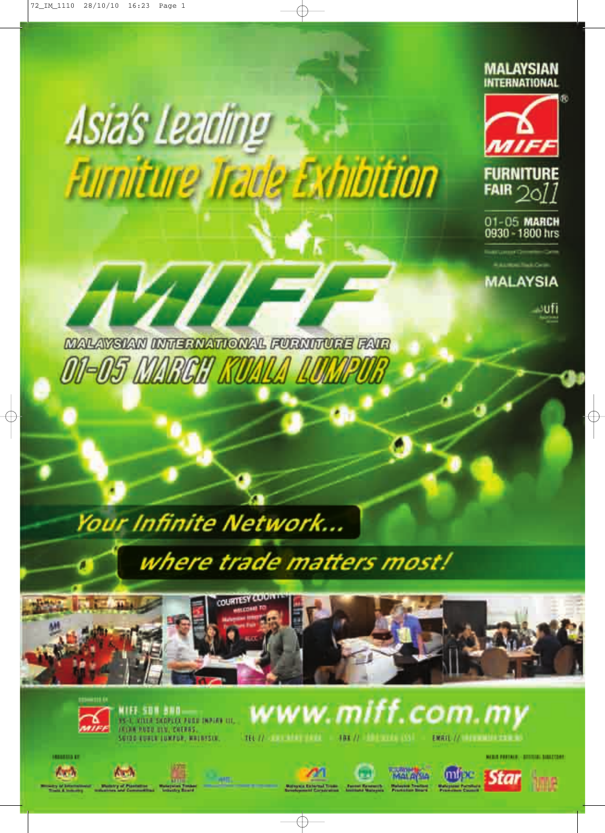





A M

**MARIJA KI** 

**All and** 

MIFF. SDH 300.<br>1941. Visa skopsky pode inplan Lic. **IRIAN RUBB UIN, CHERBS.** SOIDD EURLE LUXPUR, MALBYSLE



**MAIL PRETAIN: (ATTITUM: BIBLETON)** 



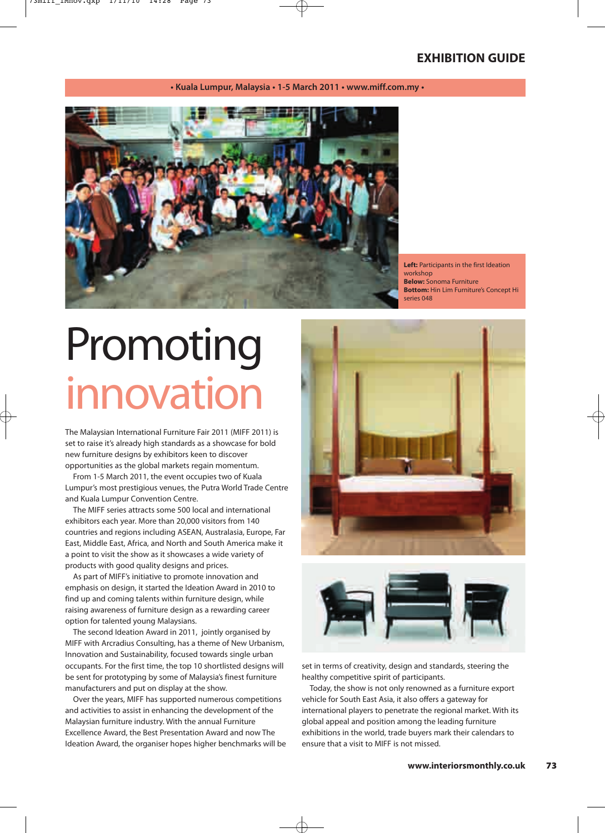**• Kuala Lumpur, Malaysia • 1-5 March 2011 • www.miff.com.my •** 



**Left:** Participants in the first Ideation workshop **Below:** Sonoma Furniture **Bottom:** Hin Lim Furniture's Concept Hi series 048

### Promoting innovation

The Malaysian International Furniture Fair 2011 (MIFF 2011) is set to raise it's already high standards as a showcase for bold new furniture designs by exhibitors keen to discover opportunities as the global markets regain momentum.

From 1-5 March 2011, the event occupies two of Kuala Lumpur's most prestigious venues, the Putra World Trade Centre and Kuala Lumpur Convention Centre.

The MIFF series attracts some 500 local and international exhibitors each year. More than 20,000 visitors from 140 countries and regions including ASEAN, Australasia, Europe, Far East, Middle East, Africa, and North and South America make it a point to visit the show as it showcases a wide variety of products with good quality designs and prices.

As part of MIFF's initiative to promote innovation and emphasis on design, it started the Ideation Award in 2010 to find up and coming talents within furniture design, while raising awareness of furniture design as a rewarding career option for talented young Malaysians.

The second Ideation Award in 2011, jointly organised by MIFF with Arcradius Consulting, has a theme of New Urbanism, Innovation and Sustainability, focused towards single urban occupants. For the first time, the top 10 shortlisted designs will be sent for prototyping by some of Malaysia's finest furniture manufacturers and put on display at the show.

Over the years, MIFF has supported numerous competitions and activities to assist in enhancing the development of the Malaysian furniture industry. With the annual Furniture Excellence Award, the Best Presentation Award and now The Ideation Award, the organiser hopes higher benchmarks will be





set in terms of creativity, design and standards, steering the healthy competitive spirit of participants.

Today, the show is not only renowned as a furniture export vehicle for South East Asia, it also offers a gateway for international players to penetrate the regional market. With its global appeal and position among the leading furniture exhibitions in the world, trade buyers mark their calendars to ensure that a visit to MIFF is not missed.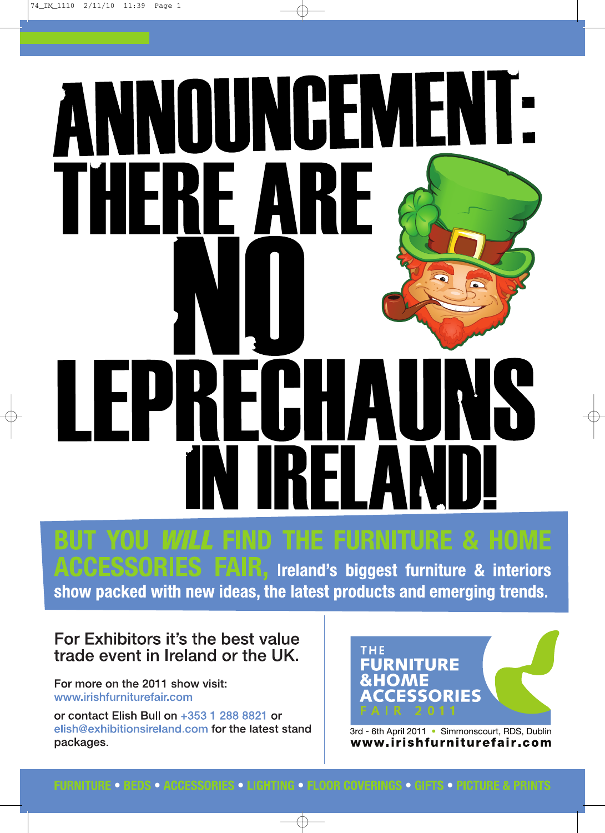# INNOUNCEMENT RE A KHH ╻┢ H  $\overline{\phantom{a}}$

**ND THE FURNITURE & HOME** Ireland's biggest furniture & interiors show packed with new ideas, the latest products and emerging trends.

#### For Exhibitors it's the best value trade event in Ireland or the UK.

For more on the 2011 show visit: www.irishfurniturefair.com

or contact Elish Bull on +353 1 288 8821 or elish@exhibitionsireland.com for the latest stand packages.



3rd - 6th April 2011 · Simmonscourt, RDS, Dublin www.irishfurniturefair.com

#### **FURNITURE • BEDS • ACCESSORIES • LIGHTING • FLOOR COVERINGS • GIFTS • PICTURE & PRINTS**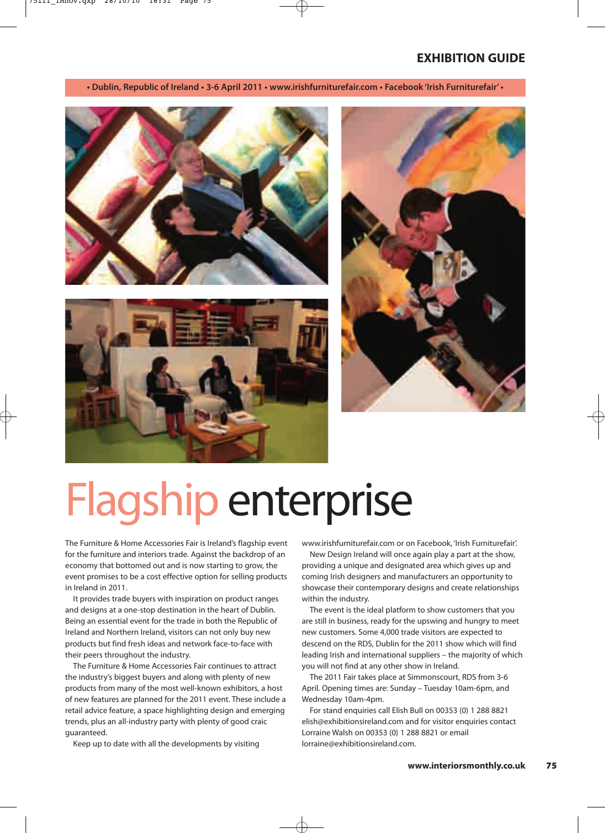**• Dublin, Republic of Ireland • 3-6 April 2011 • www.irishfurniturefair.com • Facebook 'Irish Furniturefair' •**







### Flagship enterprise

The Furniture & Home Accessories Fair is Ireland's flagship event for the furniture and interiors trade. Against the backdrop of an economy that bottomed out and is now starting to grow, the event promises to be a cost effective option for selling products in Ireland in 2011.

It provides trade buyers with inspiration on product ranges and designs at a one-stop destination in the heart of Dublin. Being an essential event for the trade in both the Republic of Ireland and Northern Ireland, visitors can not only buy new products but find fresh ideas and network face-to-face with their peers throughout the industry.

The Furniture & Home Accessories Fair continues to attract the industry's biggest buyers and along with plenty of new products from many of the most well-known exhibitors, a host of new features are planned for the 2011 event. These include a retail advice feature, a space highlighting design and emerging trends, plus an all-industry party with plenty of good craic guaranteed.

Keep up to date with all the developments by visiting

www.irishfurniturefair.com or on Facebook, 'Irish Furniturefair'.

New Design Ireland will once again play a part at the show, providing a unique and designated area which gives up and coming Irish designers and manufacturers an opportunity to showcase their contemporary designs and create relationships within the industry.

The event is the ideal platform to show customers that you are still in business, ready for the upswing and hungry to meet new customers. Some 4,000 trade visitors are expected to descend on the RDS, Dublin for the 2011 show which will find leading Irish and international suppliers – the majority of which you will not find at any other show in Ireland.

The 2011 Fair takes place at Simmonscourt, RDS from 3-6 April. Opening times are: Sunday – Tuesday 10am-6pm, and Wednesday 10am-4pm.

For stand enquiries call Elish Bull on 00353 (0) 1 288 8821 elish@exhibitionsireland.com and for visitor enquiries contact Lorraine Walsh on 00353 (0) 1 288 8821 or email lorraine@exhibitionsireland.com.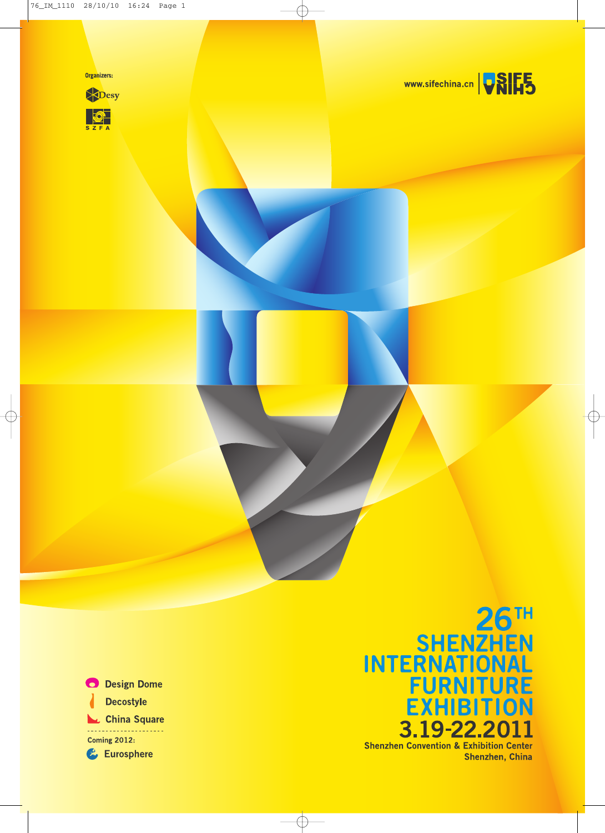









### SHENZHEN<br>INTERNATIONAL<br>FURNITURE<br>EXHIBITION 3.19-22.2 **Shenzhen Convention & Exhibition Center**

Shenzhen, China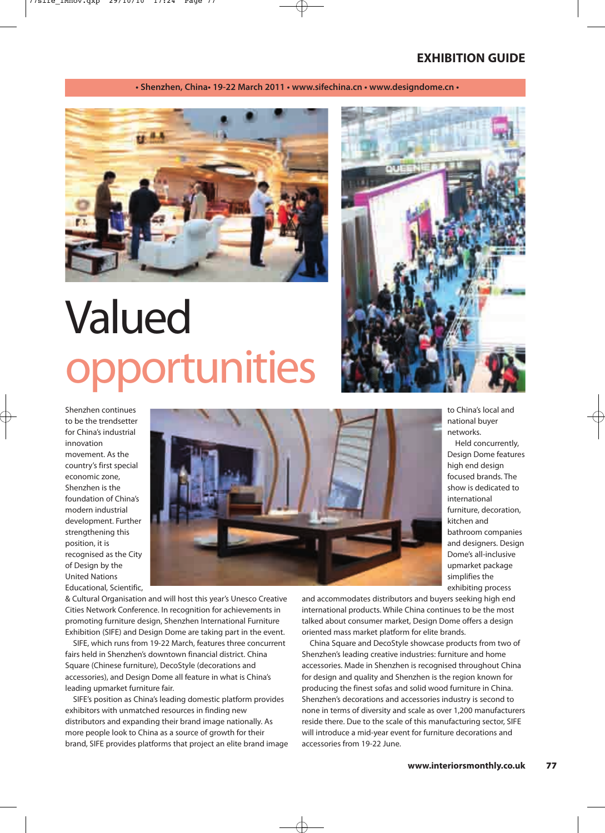**• Shenzhen, China• 19-22 March 2011 • www.sifechina.cn • www.designdome.cn •**



### Valued opportunities

Shenzhen continues to be the trendsetter for China's industrial innovation movement. As the country's first special economic zone, Shenzhen is the foundation of China's modern industrial development. Further strengthening this position, it is recognised as the City of Design by the United Nations Educational, Scientific,



& Cultural Organisation and will host this year's Unesco Creative Cities Network Conference. In recognition for achievements in promoting furniture design, Shenzhen International Furniture Exhibition (SIFE) and Design Dome are taking part in the event.

SIFE, which runs from 19-22 March, features three concurrent fairs held in Shenzhen's downtown financial district. China Square (Chinese furniture), DecoStyle (decorations and accessories), and Design Dome all feature in what is China's leading upmarket furniture fair.

SIFE's position as China's leading domestic platform provides exhibitors with unmatched resources in finding new distributors and expanding their brand image nationally. As more people look to China as a source of growth for their brand, SIFE provides platforms that project an elite brand image



to China's local and national buyer networks.

Held concurrently, Design Dome features high end design focused brands. The show is dedicated to international furniture, decoration, kitchen and bathroom companies and designers. Design Dome's all-inclusive upmarket package simplifies the exhibiting process

and accommodates distributors and buyers seeking high end international products. While China continues to be the most talked about consumer market, Design Dome offers a design oriented mass market platform for elite brands.

China Square and DecoStyle showcase products from two of Shenzhen's leading creative industries: furniture and home accessories. Made in Shenzhen is recognised throughout China for design and quality and Shenzhen is the region known for producing the finest sofas and solid wood furniture in China. Shenzhen's decorations and accessories industry is second to none in terms of diversity and scale as over 1,200 manufacturers reside there. Due to the scale of this manufacturing sector, SIFE will introduce a mid-year event for furniture decorations and accessories from 19-22 June.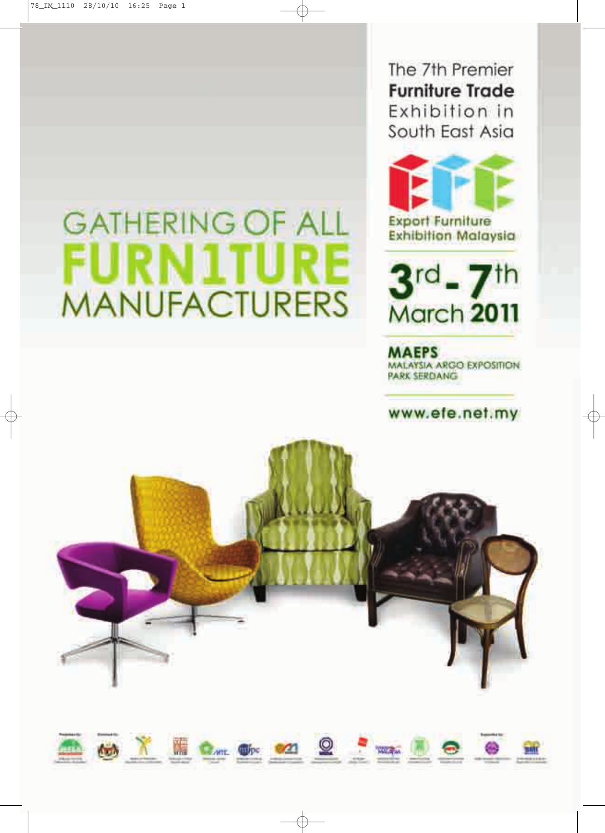### **GATHERING OF ALL FURN1TURE MANUFACTURERS**

The 7th Premier **Furniture Trade** Exhibition in South East Asia



**Exhibition Malaysia** 

 $3<sup>rd</sup> - 7<sup>th</sup>$ March 2011

**MAEPS** MALAYSIA ARGO EXPOSITION PARK SERDANG

www.efe.net.my



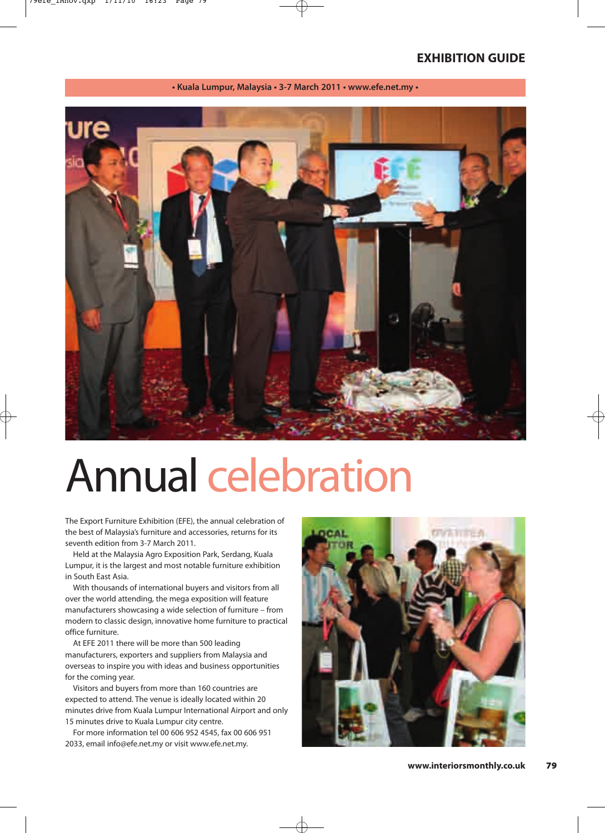

#### **• Kuala Lumpur, Malaysia • 3-7 March 2011 • www.efe.net.my •**

### Annual celebration

The Export Furniture Exhibition (EFE), the annual celebration of the best of Malaysia's furniture and accessories, returns for its seventh edition from 3-7 March 2011.

Held at the Malaysia Agro Exposition Park, Serdang, Kuala Lumpur, it is the largest and most notable furniture exhibition in South East Asia.

With thousands of international buyers and visitors from all over the world attending, the mega exposition will feature manufacturers showcasing a wide selection of furniture – from modern to classic design, innovative home furniture to practical office furniture.

At EFE 2011 there will be more than 500 leading manufacturers, exporters and suppliers from Malaysia and overseas to inspire you with ideas and business opportunities for the coming year.

Visitors and buyers from more than 160 countries are expected to attend. The venue is ideally located within 20 minutes drive from Kuala Lumpur International Airport and only 15 minutes drive to Kuala Lumpur city centre.

For more information tel 00 606 952 4545, fax 00 606 951 2033, email info@efe.net.my or visit www.efe.net.my.

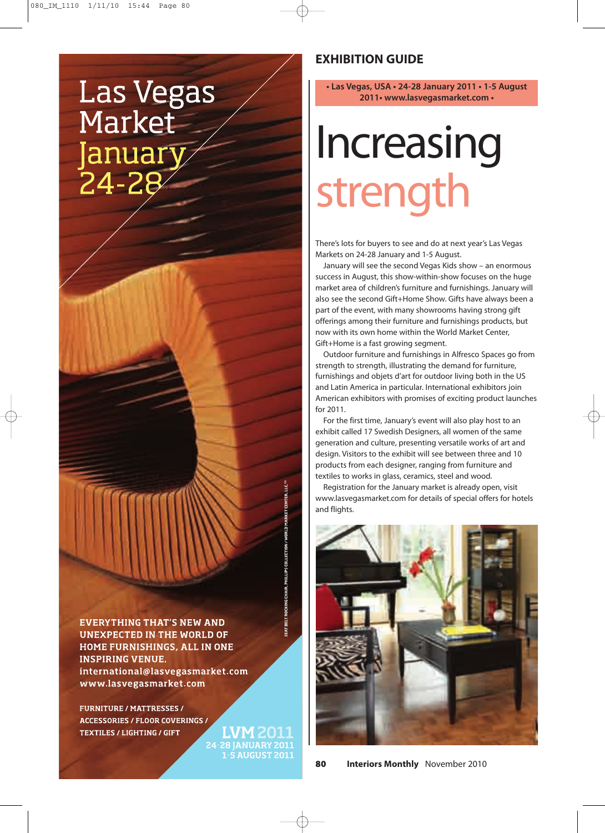### **Las Vegas** Market January 24-2

**EVERYTHING THAT'S NEW AND UNEXPECTED IN THE WORLD OF** HOME FURNISHINGS, ALL IN ONE **INSPIRING VENUE.** international@lasvegasmarket.com www.lasvegasmarket.com

**FURNITURE / MATTRESSES / ACCESSORIES / FLOOR COVERINGS / TEXTILES / LIGHTING / GIFT** 

24-28 JANUARY 2011 **1-5 AUGUST 2011** 

#### **EXHIBITION GUIDE**

**• Las Vegas, USA • 24-28 January 2011 • 1-5 August 2011• www.lasvegasmarket.com •**

### Increasing strength

There's lots for buyers to see and do at next year's Las Vegas Markets on 24-28 January and 1-5 August.

January will see the second Vegas Kids show – an enormous success in August, this show-within-show focuses on the huge market area of children's furniture and furnishings. January will also see the second Gift+Home Show. Gifts have always been a part of the event, with many showrooms having strong gift offerings among their furniture and furnishings products, but now with its own home within the World Market Center, Gift+Home is a fast growing segment.

Outdoor furniture and furnishings in Alfresco Spaces go from strength to strength, illustrating the demand for furniture, furnishings and objets d'art for outdoor living both in the US and Latin America in particular. International exhibitors join American exhibitors with promises of exciting product launches for 2011.

For the first time, January's event will also play host to an exhibit called 17 Swedish Designers, all women of the same generation and culture, presenting versatile works of art and design. Visitors to the exhibit will see between three and 10 products from each designer, ranging from furniture and textiles to works in glass, ceramics, steel and wood.

Registration for the January market is already open, visit www.lasvegasmarket.com for details of special offers for hotels and flights.